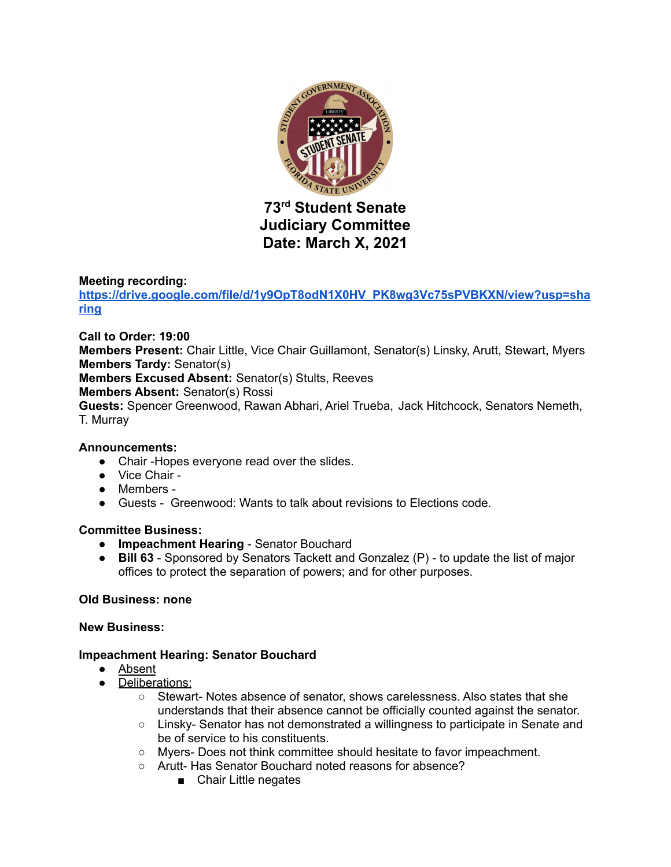

# **73 rd Student Senate Judiciary Committee Date: March X, 2021**

### **Meeting recording:**

**[https://drive.google.com/file/d/1y9OpT8odN1X0HV\\_PK8wg3Vc75sPVBKXN/view?usp=sha](https://drive.google.com/file/d/1y9OpT8odN1X0HV_PK8wg3Vc75sPVBKXN/view?usp=sharing) [ring](https://drive.google.com/file/d/1y9OpT8odN1X0HV_PK8wg3Vc75sPVBKXN/view?usp=sharing)**

### **Call to Order: 19:00**

**Members Present:** Chair Little, Vice Chair Guillamont, Senator(s) Linsky, Arutt, Stewart, Myers **Members Tardy:** Senator(s)

**Members Excused Absent:** Senator(s) Stults, Reeves

**Members Absent:** Senator(s) Rossi

**Guests:** Spencer Greenwood, Rawan Abhari, Ariel Trueba, Jack Hitchcock, Senators Nemeth, T. Murray

### **Announcements:**

- Chair -Hopes everyone read over the slides.
- Vice Chair -
- Members -
- Guests Greenwood: Wants to talk about revisions to Elections code.

### **Committee Business:**

- **● Impeachment Hearing** Senator Bouchard
- **● Bill 63** Sponsored by Senators Tackett and Gonzalez (P) to update the list of major offices to protect the separation of powers; and for other purposes.

### **Old Business: none**

### **New Business:**

### **Impeachment Hearing: Senator Bouchard**

- Absent
- Deliberations:
	- Stewart- Notes absence of senator, shows carelessness. Also states that she understands that their absence cannot be officially counted against the senator.
	- Linsky- Senator has not demonstrated a willingness to participate in Senate and be of service to his constituents.
	- Myers- Does not think committee should hesitate to favor impeachment.
	- Arutt- Has Senator Bouchard noted reasons for absence?
		- Chair Little negates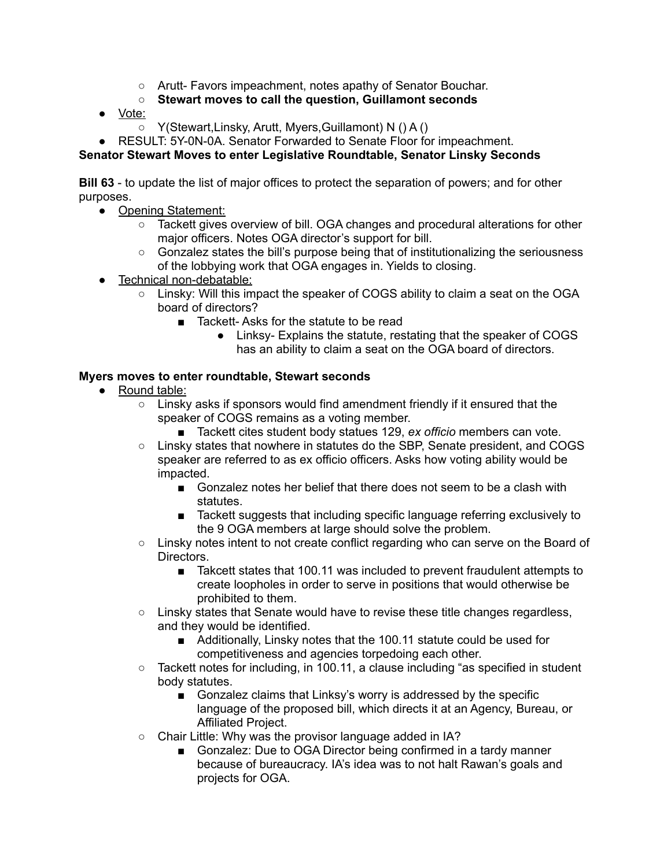- Arutt- Favors impeachment, notes apathy of Senator Bouchar.
- **Stewart moves to call the question, Guillamont seconds**
- Vote:
	- Y(Stewart,Linsky, Arutt, Myers,Guillamont) N () A ()
- RESULT: 5Y-0N-0A. Senator Forwarded to Senate Floor for impeachment.

# **Senator Stewart Moves to enter Legislative Roundtable, Senator Linsky Seconds**

**Bill 63** - to update the list of major offices to protect the separation of powers; and for other purposes.

- Opening Statement:
	- Tackett gives overview of bill. OGA changes and procedural alterations for other major officers. Notes OGA director's support for bill.
	- Gonzalez states the bill's purpose being that of institutionalizing the seriousness of the lobbying work that OGA engages in. Yields to closing.
- Technical non-debatable:
	- Linsky: Will this impact the speaker of COGS ability to claim a seat on the OGA board of directors?
		- Tackett-Asks for the statute to be read
			- Linksy- Explains the statute, restating that the speaker of COGS has an ability to claim a seat on the OGA board of directors.

### **Myers moves to enter roundtable, Stewart seconds**

- Round table:
	- Linsky asks if sponsors would find amendment friendly if it ensured that the speaker of COGS remains as a voting member.
		- Tackett cites student body statues 129, *ex officio* members can vote.
	- Linsky states that nowhere in statutes do the SBP, Senate president, and COGS speaker are referred to as ex officio officers. Asks how voting ability would be impacted.
		- Gonzalez notes her belief that there does not seem to be a clash with statutes.
		- Tackett suggests that including specific language referring exclusively to the 9 OGA members at large should solve the problem.
	- Linsky notes intent to not create conflict regarding who can serve on the Board of Directors.
		- Takcett states that 100.11 was included to prevent fraudulent attempts to create loopholes in order to serve in positions that would otherwise be prohibited to them.
	- Linsky states that Senate would have to revise these title changes regardless, and they would be identified.
		- Additionally, Linsky notes that the 100.11 statute could be used for competitiveness and agencies torpedoing each other.
	- $\circ$  Tackett notes for including, in 100.11, a clause including "as specified in student body statutes.
		- Gonzalez claims that Linksy's worry is addressed by the specific language of the proposed bill, which directs it at an Agency, Bureau, or Affiliated Project.
	- Chair Little: Why was the provisor language added in IA?
		- Gonzalez: Due to OGA Director being confirmed in a tardy manner because of bureaucracy. IA's idea was to not halt Rawan's goals and projects for OGA.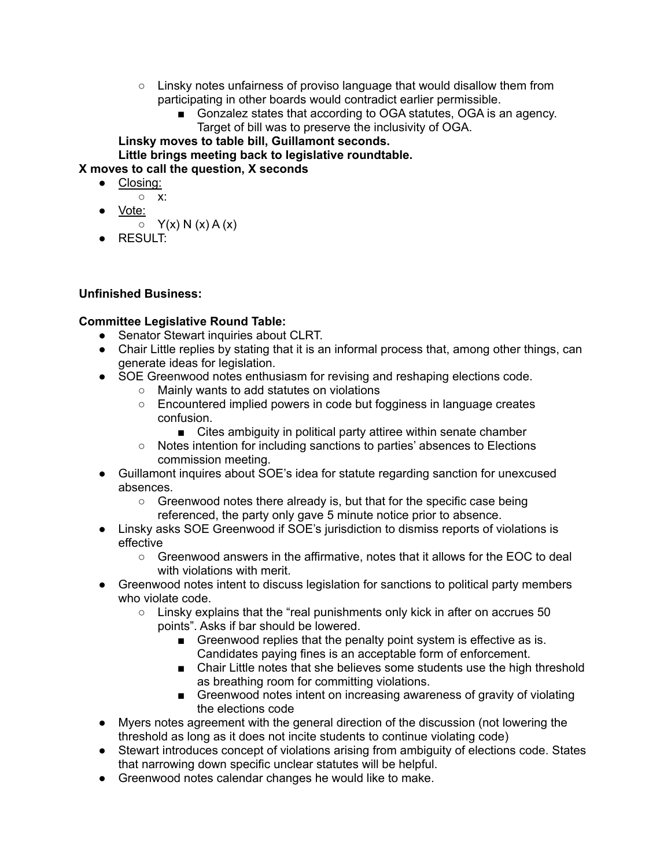- $\circ$  Linsky notes unfairness of proviso language that would disallow them from participating in other boards would contradict earlier permissible.
	- Gonzalez states that according to OGA statutes, OGA is an agency. Target of bill was to preserve the inclusivity of OGA.

**Linsky moves to table bill, Guillamont seconds. Little brings meeting back to legislative roundtable.**

**X moves to call the question, X seconds**

- Closing:
	- x:
	- Vote:
		- $\circ$  Y(x) N (x) A (x)
- $\bullet$  RESULT:

# **Unfinished Business:**

# **Committee Legislative Round Table:**

- Senator Stewart inquiries about CLRT.
- Chair Little replies by stating that it is an informal process that, among other things, can generate ideas for legislation.
- SOE Greenwood notes enthusiasm for revising and reshaping elections code.
	- Mainly wants to add statutes on violations
		- Encountered implied powers in code but fogginess in language creates confusion.
			- Cites ambiguity in political party attiree within senate chamber
		- Notes intention for including sanctions to parties' absences to Elections commission meeting.
- Guillamont inquires about SOE's idea for statute regarding sanction for unexcused absences.
	- Greenwood notes there already is, but that for the specific case being referenced, the party only gave 5 minute notice prior to absence.
- Linsky asks SOE Greenwood if SOE's jurisdiction to dismiss reports of violations is effective
	- Greenwood answers in the affirmative, notes that it allows for the EOC to deal with violations with merit.
- Greenwood notes intent to discuss legislation for sanctions to political party members who violate code.
	- $\circ$  Linsky explains that the "real punishments only kick in after on accrues 50 points". Asks if bar should be lowered.
		- Greenwood replies that the penalty point system is effective as is. Candidates paying fines is an acceptable form of enforcement.
		- Chair Little notes that she believes some students use the high threshold as breathing room for committing violations.
		- Greenwood notes intent on increasing awareness of gravity of violating the elections code
- Myers notes agreement with the general direction of the discussion (not lowering the threshold as long as it does not incite students to continue violating code)
- Stewart introduces concept of violations arising from ambiguity of elections code. States that narrowing down specific unclear statutes will be helpful.
- Greenwood notes calendar changes he would like to make.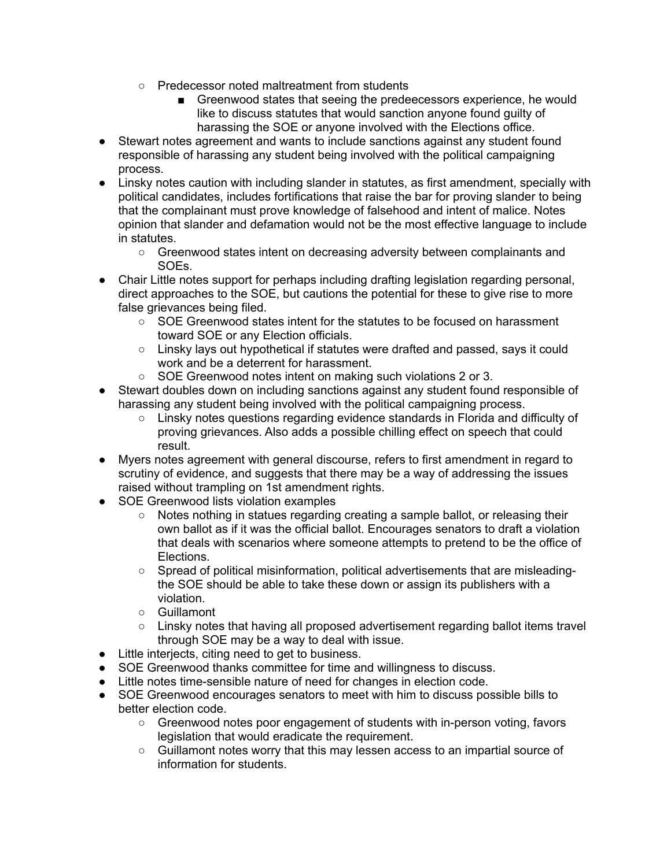- Predecessor noted maltreatment from students
	- Greenwood states that seeing the predeecessors experience, he would like to discuss statutes that would sanction anyone found guilty of harassing the SOE or anyone involved with the Elections office.
- Stewart notes agreement and wants to include sanctions against any student found responsible of harassing any student being involved with the political campaigning process.
- Linsky notes caution with including slander in statutes, as first amendment, specially with political candidates, includes fortifications that raise the bar for proving slander to being that the complainant must prove knowledge of falsehood and intent of malice. Notes opinion that slander and defamation would not be the most effective language to include in statutes.
	- Greenwood states intent on decreasing adversity between complainants and SOEs.
- Chair Little notes support for perhaps including drafting legislation regarding personal, direct approaches to the SOE, but cautions the potential for these to give rise to more false grievances being filed.
	- SOE Greenwood states intent for the statutes to be focused on harassment toward SOE or any Election officials.
	- Linsky lays out hypothetical if statutes were drafted and passed, says it could work and be a deterrent for harassment.
	- SOE Greenwood notes intent on making such violations 2 or 3.
- Stewart doubles down on including sanctions against any student found responsible of harassing any student being involved with the political campaigning process.
	- Linsky notes questions regarding evidence standards in Florida and difficulty of proving grievances. Also adds a possible chilling effect on speech that could result.
- Myers notes agreement with general discourse, refers to first amendment in regard to scrutiny of evidence, and suggests that there may be a way of addressing the issues raised without trampling on 1st amendment rights.
- SOE Greenwood lists violation examples
	- Notes nothing in statues regarding creating a sample ballot, or releasing their own ballot as if it was the official ballot. Encourages senators to draft a violation that deals with scenarios where someone attempts to pretend to be the office of Elections.
	- Spread of political misinformation, political advertisements that are misleadingthe SOE should be able to take these down or assign its publishers with a violation.
	- Guillamont
	- Linsky notes that having all proposed advertisement regarding ballot items travel through SOE may be a way to deal with issue.
- Little interjects, citing need to get to business.
- SOE Greenwood thanks committee for time and willingness to discuss.
- Little notes time-sensible nature of need for changes in election code.
- SOE Greenwood encourages senators to meet with him to discuss possible bills to better election code.
	- Greenwood notes poor engagement of students with in-person voting, favors legislation that would eradicate the requirement.
	- Guillamont notes worry that this may lessen access to an impartial source of information for students.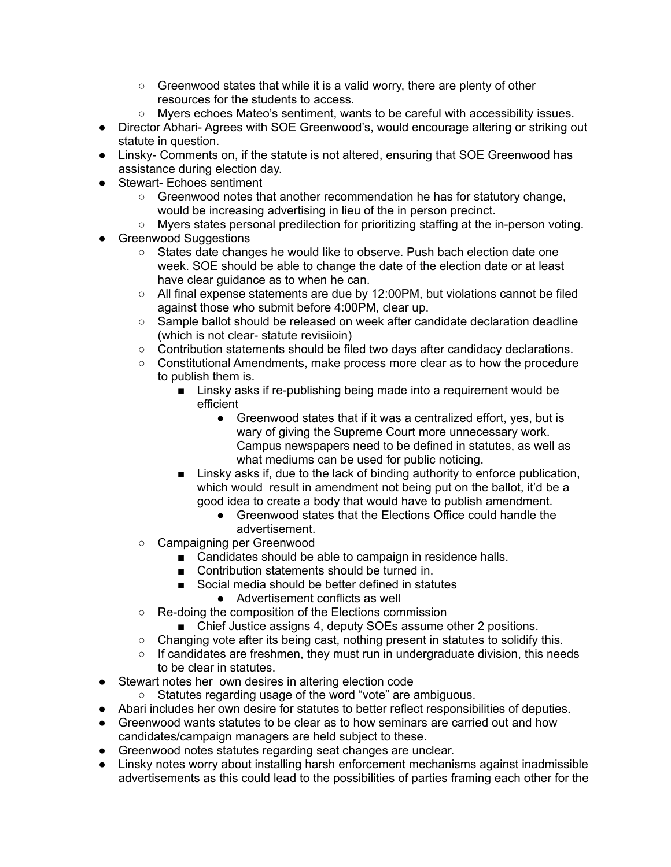- Greenwood states that while it is a valid worry, there are plenty of other resources for the students to access.
- Myers echoes Mateo's sentiment, wants to be careful with accessibility issues.
- Director Abhari- Agrees with SOE Greenwood's, would encourage altering or striking out statute in question.
- Linsky- Comments on, if the statute is not altered, ensuring that SOE Greenwood has assistance during election day.
- Stewart- Echoes sentiment
	- Greenwood notes that another recommendation he has for statutory change, would be increasing advertising in lieu of the in person precinct.
	- Myers states personal predilection for prioritizing staffing at the in-person voting.
- **•** Greenwood Suggestions
	- States date changes he would like to observe. Push bach election date one week. SOE should be able to change the date of the election date or at least have clear guidance as to when he can.
	- $\circ$  All final expense statements are due by 12:00 PM, but violations cannot be filed against those who submit before 4:00PM, clear up.
	- Sample ballot should be released on week after candidate declaration deadline (which is not clear- statute revisiioin)
	- Contribution statements should be filed two days after candidacy declarations.
	- Constitutional Amendments, make process more clear as to how the procedure to publish them is.
		- Linsky asks if re-publishing being made into a requirement would be efficient
			- Greenwood states that if it was a centralized effort, yes, but is wary of giving the Supreme Court more unnecessary work. Campus newspapers need to be defined in statutes, as well as what mediums can be used for public noticing.
		- Linsky asks if, due to the lack of binding authority to enforce publication, which would result in amendment not being put on the ballot, it'd be a good idea to create a body that would have to publish amendment.
			- Greenwood states that the Elections Office could handle the advertisement.
	- Campaigning per Greenwood
		- Candidates should be able to campaign in residence halls.
		- Contribution statements should be turned in.
		- Social media should be better defined in statutes
			- Advertisement conflicts as well
	- Re-doing the composition of the Elections commission
		- Chief Justice assigns 4, deputy SOEs assume other 2 positions.
	- $\circ$  Changing vote after its being cast, nothing present in statutes to solidify this.
	- $\circ$  If candidates are freshmen, they must run in undergraduate division, this needs to be clear in statutes.
- Stewart notes her own desires in altering election code
	- Statutes regarding usage of the word "vote" are ambiguous.
- Abari includes her own desire for statutes to better reflect responsibilities of deputies.
- Greenwood wants statutes to be clear as to how seminars are carried out and how candidates/campaign managers are held subject to these.
- Greenwood notes statutes regarding seat changes are unclear.
- Linsky notes worry about installing harsh enforcement mechanisms against inadmissible advertisements as this could lead to the possibilities of parties framing each other for the